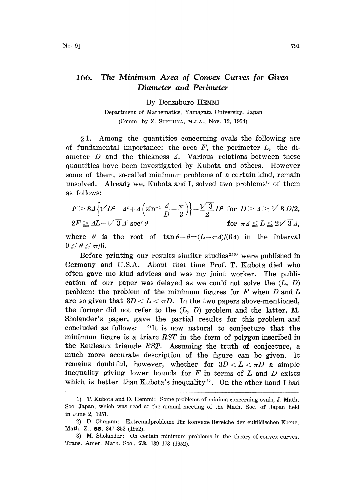## 166. The Minimum Area of Convex Curves for Given Diameter and Perimeter

By Denzaburo HEMMI

Department of Mathematics, Yamagata University, Japan (Comm. by Z. SUETUNA, M.J.A., NOV. 12, 1954)

1. Among the quantities concerning ovals the following are of fundamental importance: the area  $F$ , the perimeter  $L$ , the diameter  $D$  and the thickness  $\Lambda$ . Various relations between these quantities have been investigated by Kubota and others. However some of them, so-called minimum problems of a certain kind, remain unsolved. Already we, Kubota and I, solved two problems<sup>1)</sup> of them as follows:

$$
F \ge 34 \left\{ \sqrt{D^2 - 4^2} + 4 \left( \sin^{-1} \frac{A}{D} - \frac{\pi}{3} \right) \right\} - \frac{\sqrt{3}}{2} D^2 \text{ for } D \ge 4 \ge \sqrt{3} D/2,
$$
  
\n
$$
2F \ge 4L - \sqrt{3} \ 4^2 \sec^2 \theta \qquad \text{for } \pi \Delta \le L \le 2\sqrt{3} \ 4.
$$

where  $\theta$  is the root of  $\tan \theta - \theta = (L - \pi \Delta)/(6\Delta)$  in the interval  $0\leq\theta\leq\pi/6.$ 

 $\sigma \geq \pi$ /o.<br>Before printing our results similar studies<sup>2333</sup> were published in Germany and U.S.A. About that time Prof. T. Kubota died who often gave me kind advices and was my joint worker. The publication of our paper was delayed as we could not solve the  $(L, D)$ problem: the problem of the minimum figures for  $F$  when  $D$  and  $L$ are so given that  $3D < L < \pi D$ . In the two papers above-mentioned, the former did not refer to the  $(L, D)$  problem and the latter, M. Sholander's paper, gave the partial results for this problem and concluded as follows: "It is now natural to conjecture that the minimum figure is <sup>a</sup> triarc RST in the form of polygon inscribed in the Reuleaux triangle RST. Assuming the truth of conjecture, a much more accurate description of the figure can be given. It remains doubtful, however, whether for  $3D < L < \pi D$  a simple inequality giving lower bounds for  $F$  in terms of  $L$  and  $D$  exists which is better than Kubota's inequality". On the other hand <sup>I</sup> had

<sup>1)</sup> T. Kubota and D. Hemmi: Some problems of minima concerning ovals, J. Math. Soc. Japan, which was read at the annual meeting of the Math. Soc. of Japan held in June 2, 1951.

<sup>2)</sup> D. Ohmann: Extremalprobleme ffir konvexe Bereiche der euklidischen Ebene, Math. Z., 55, 347-352 (1952).

<sup>3)</sup> M. Sholander: On certain minimum problems in the theory of convex curves, Trans. Amer. Math. Soc., 73, 139-173 (1952).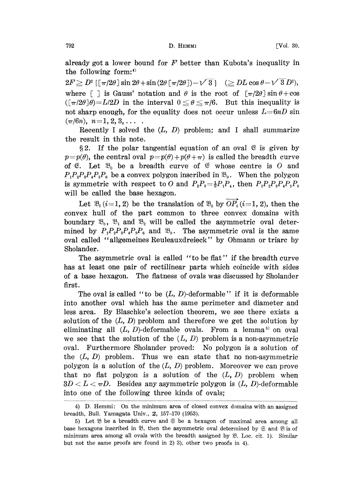already got a lower bound for  $F$  better than Kubota's inequality in the following form

 $2F \ge D^2 \left\{ \left[ \frac{\pi}{2\theta} \right] \sin 2\theta + \sin \left( 2\theta \left[ \frac{\pi}{2\theta} \right] \right) - \sqrt{3} \right\} \quad (\ge DL \cos \theta - \sqrt{3} D^2),$ where  $\lceil \cdot \rceil$  is Gauss' notation and  $\theta$  is the root of  $\lceil \pi/2\theta \rceil \sin \theta + \cos \theta$  $([\pi/2\theta]\theta)=L/2D$  in the interval  $0 \le \theta \le \pi/6$ . But this inequality is not sharp enough, for the equality does not occur unless  $L=6nD$  sin  $(\pi/6n), n=1, 2, 3, \ldots$ 

Recently I solved the  $(L, D)$  problem; and I shall summarize the result in this note.

§2. If the polar tangential equation of an oval  $\mathfrak{E}$  is given by  $p=p(\theta)$ , the central oval  $p=p(\theta)+p(\theta+\pi)$  is called the breadth curve of  $\mathfrak{E}$ . Let  $\mathfrak{B}_0$  be a breadth curve of  $\mathfrak{E}$  whose centre is O and  $P_1P_2P_3P_4P_5P_6$  be a convex polygon inscribed in  $\mathfrak{B}_0$ . When the polygon is symmetric with respect to O and  $P_2P_3 = \frac{1}{2}P_1P_4$ , then  $P_1P_2P_3P_4P_5P_6$ will be called the base hexagon.

Let  $\mathfrak{B}_i$  (i=1, 2) be the translation of  $\mathfrak{B}_0$  by  $\overrightarrow{OP}_i$  (i=1, 2), then the convex hull of the part common to three convex domains with boundary  $\mathfrak{B}_0$ ,  $\mathfrak{B}_1$  and  $\mathfrak{B}_2$  will be called the asymmetric oval determined by  $P_1P_2P_3P_4P_5P_6$  and  $\mathfrak{B}_0$ . The asymmetric oval is the same oval called "allgemeines Reuleauxdreieck" by Ohmann or triarc by Sholander.

The asymmetric oval is called "to be flat" if the breadth curve has at least one pair of rectilinear parts which coincide with sides of a base hexagon. The flatness of ovals was discussed by Sholander first.

The oval is called "to be  $(L, D)$ -deformable" if it is deformable into another oval which has the same perimeter and diameter and less area. By Blaschke's selection theorem, we see there exists a solution of the  $(L, D)$  problem and therefore we get the solution by eliminating all  $(L, D)$ -deformable ovals. From a lemma<sup>55</sup> on oval we see that the solution of the  $(L, D)$  problem is a non-asymmetric oval. Furthermore Sholander proved: No polygon is a solution of the  $(L, D)$  problem. Thus we can state that no non-asymmetric polygon is a solution of the  $(L, D)$  problem. Moreover we can prove that no flat polygon is a solution of the  $(L, D)$  problem when  $3D < L < \pi D$ . Besides any asymmetric polygon is  $(L, D)$ -deformable into one of the following three kinds of ovals;

<sup>4)</sup> D. Hemmi: On the minimum area of closed convex domains with an assigned breadth, Bull. Yamagata Univ., 2, 157-170 (1953).

<sup>5)</sup> Let  $\mathfrak B$  be a breadth curve and  $\mathfrak S$  be a hexagon of maximal area among all base hexagons inscribed in  $\mathfrak{B}$ , then the asymmetric oval determined by  $\mathfrak{S}$  and  $\mathfrak{B}$  is of minimum area among all ovals with the breadth assigned by  $\mathfrak{B}$ . Loc. cit. 1). Similar but not the same proofs are found in 2) 3), other two proofs in 4).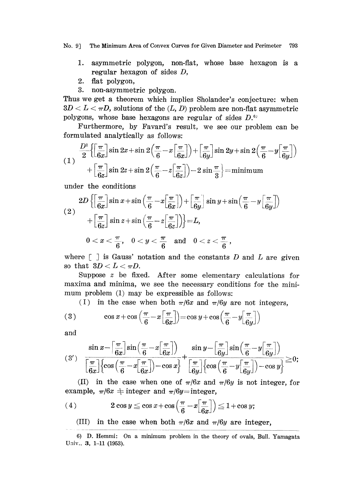No. 9] The Minimum Area of Convex Curves for Given Diameter and Perimeter 793

- 1. asymmetric polygon, non-flat, whose base hexagon is a regular hexagon of sides D,
- 2. flat polygon,
- 3. non-asymmetric polygon.

Thus we get <sup>a</sup> theorem which implies Sholander's conjecture: when  $3D < L < \pi D$ , solutions of the  $(L, D)$  problem are non-flat asymmetric polygons, whose base hexagons are regular of sides  $D<sup>{6}</sup>$ 

Furthermore, by Favard's result, we see our problem can be formulated analytically as follows:

$$
(1) \frac{D^2}{2} \left\{ \left[ \frac{\pi}{6x} \right] \sin 2x + \sin 2 \left( \frac{\pi}{6} - x \left[ \frac{\pi}{6x} \right] \right) + \left[ \frac{\pi}{6y} \right] \sin 2y + \sin 2 \left( \frac{\pi}{6} - y \left[ \frac{\pi}{6y} \right] \right) + \left[ \frac{\pi}{6z} \right] \sin 2z + \sin 2 \left( \frac{\pi}{6} - z \left[ \frac{\pi}{6z} \right] \right) - 2 \sin \frac{\pi}{3} \right\} = \text{minimum}
$$

under the conditions

$$
(2) \quad \begin{aligned} & 2D\left\{ \left[ \frac{\pi}{6x} \right] \sin x + \sin \left( \frac{\pi}{6} - x \left[ \frac{\pi}{6x} \right] \right) + \left[ \frac{\pi}{6y} \right] \sin y + \sin \left( \frac{\pi}{6} - y \left[ \frac{\pi}{6y} \right] \right) \right. \\ &\left. + \left[ \frac{\pi}{6z} \right] \sin z + \sin \left( \frac{\pi}{6} - z \left[ \frac{\pi}{6z} \right] \right) \right\} = L, \\ & 0 < x < \frac{\pi}{6}, \quad 0 < y < \frac{\pi}{6} \quad \text{and} \quad 0 < z < \frac{\pi}{6} \,, \end{aligned}
$$

where  $\lceil \ \rceil$  is Gauss' notation and the constants D and L are given so that  $3D < L < \pi D$ .

Suppose <sup>z</sup> be fixed. After some elementary calculations for maxima and minima, we see the necessary conditions for the minimum problem (1) may be expressible as follows:

(I) in the case when both  $\pi/6x$  and  $\pi/6y$  are not integers,

(3) 
$$
\cos x + \cos \left( \frac{\pi}{6} - x \left[ \frac{\pi}{6x} \right] \right) = \cos y + \cos \left( \frac{\pi}{6} - y \left[ \frac{\pi}{6y} \right] \right)
$$

and

$$
(3') \quad \frac{\sin x - \left[\frac{\pi}{6x}\right] \sin \left(\frac{\pi}{6} - x\left[\frac{\pi}{6x}\right]\right)}{\left[\frac{\pi}{6x}\right] \left(\cos \left(\frac{\pi}{6} - x\left[\frac{\pi}{6x}\right]\right) - \cos x\right]} + \frac{\sin y - \left[\frac{\pi}{6y}\right] \sin \left(\frac{\pi}{6} - y\left[\frac{\pi}{6y}\right]\right)}{\left[\frac{\pi}{6y}\right] \left(\cos \left(\frac{\pi}{6} - y\left[\frac{\pi}{6y}\right]\right) - \cos y\right]} \ge 0;
$$

(II) in the case when one of  $\pi/6x$  and  $\pi/6y$  is not integer, for example,  $\pi/6x$   $\pm$  integer and  $\pi/6y$ =integer,

(4) 
$$
2 \cos y \leq \cos x + \cos \left( \frac{\pi}{6} - x \left[ \frac{\pi}{6x} \right] \right) \leq 1 + \cos y;
$$

(III) in the case when both  $\pi/6x$  and  $\pi/6y$  are integer,

<sup>6)</sup> D. Hemmi: On a minimum problem in the theory of ovals, Bull. Yamagata Univ., 3, 1-11 (1953).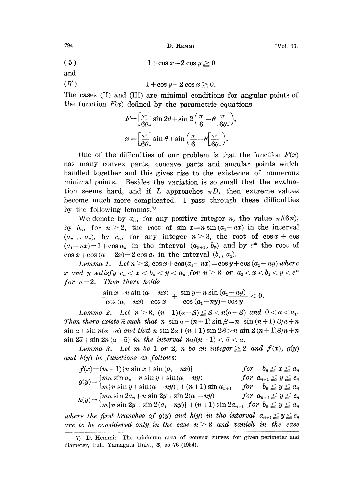794 D. I-IEMMI [Vol. 30,

 $(5)$   $1 + \cos x - 2 \cos y \ge 0$ 

and

$$
(5') \qquad \qquad 1 + \cos y - 2\cos x \ge 0.
$$

The cases (II) and (III) are minimal conditions for angular points of the function  $F(x)$  defined by the parametric equations

$$
F = \left[\frac{\pi}{6\theta}\right] \sin 2\theta + \sin 2\left(\frac{\pi}{6} - \theta\right) \frac{\pi}{6\theta}\right),
$$
  

$$
x = \left[\frac{\pi}{6\theta}\right] \sin \theta + \sin \left(\frac{\pi}{6} - \theta\right) \frac{\pi}{6\theta}\right).
$$

One of the difficulties of our problem is that the function  $F(x)$ arts<br>to<br>ion i has many convex parts, concave parts and angular points which handled together and this gives rise to the existence of numerous minimal points. Besides the variation is so small that the evaluation seems hard, and if L approaches  $\pi D$ , then extreme values become much more complicated. <sup>I</sup> pass through these difficulties by the following lemmas.<sup>7)</sup>

We denote by  $a_n$ , for any positive integer n, the value  $\pi/(6n)$ , by  $b_n$ , for  $n \geq 2$ , the root of sin  $x=n \sin(a_1-nx)$  in the interval  $(a_{n+1}, a_n)$ , by  $c_n$ , for any integer  $n\geq 3$ , the root of  $\cos x + \cos x$  $(a_1-nx)=1+\cos a_n$  in the interval  $(a_{n+1}, b_n)$  and by  $c^*$  the root of  $\cos x + \cos (a_1 - 2x) = 2 \cos a_3$  in the interval  $(b_2, a_2)$ .

Lemma 1. Let  $n \geq 2$ ,  $\cos x + \cos(a_1 - nx) = \cos y + \cos(a_1 - ny)$  where x and y satisfy  $c_n < x < b_n < y < a_n$  for  $n \geq 3$  or  $a_s < x < b_s < y < c^*$ for  $n=2$ . Then there holds

$$
\frac{\sin x - n \sin (a_1 - nx)}{\cos (a_1 - nx) - \cos x} + \frac{\sin y - n \sin (a_1 - ny)}{\cos (a_1 - ny) - \cos y} < 0.
$$

Lemma 2. Let  $n \geq 3$ ,  $(n-1)(a-\beta) \leq \beta < n(a-\beta)$  and  $0 < a < a_1$ . Then there exists  $\overline{a}$  such that n  $\sin \alpha + (n+1) \sin \beta = n \sin (n+1) \beta/n + n$  $\sin \overline{\alpha} + \sin n(\alpha - \overline{\alpha})$  and that n  $\sin 2\alpha + (n+1) \sin 2\beta > n \sin 2(n+1)\beta/n + n$  $\sin 2\bar{a} + \sin 2n (a - \bar{a})$  in the interval  $n a/(n+1) < \bar{a} < a$ .

Lemma 3. Let m be 1 or 2, n be an integer  $\geq 2$  and  $f(x)$ ,  $g(y)$ and  $h(y)$  be functions as follows:

$$
f(x)=(m+1)\{n\,\sin\,x+\sin\,(a_1-n x)\}\qquad\qquad for\qquad b_n\le x\le a_n \\\ g(y)=\begin{cases}mn\,\sin\,a_n+n\,\sin\,y+\sin\,(a_1-n y) &\text{for }a_{n+1}\le y\le c_n\\m\,\left\{n\,\sin\,y+\sin\,(a_1-n y)\right\}+(n+1)\sin\,a_{n+1} &\text{for }b_n\le y\le a_n\\h(y)=\begin{cases}mn\,\sin\,2 a_n+n\,\sin\,2 y+\sin\,2(a_1-n y) &\text{for }a_{n+1}\le y\le c_n\\m\,\left\{n\,\sin\,2 y+\sin\,2(a_1-n y)\right\}+(n+1)\sin\,2 a_{n+1} &\text{for }b_n\le y\le a_n\end{cases} \\\where\ the\ first\ branches\ of\ g(y)\ and\ h(y)\ in\ the\ interval\ a_{n+1}\le y\le c_n
$$

are to be considered only in the case  $n\geqq 3$  and vanish in the case

<sup>7)</sup> D. Hemmi: The minimum area of convex curves for given perimeter and diameter, Bull. Yamagata Univ.,  $3, 55-76$  (1954).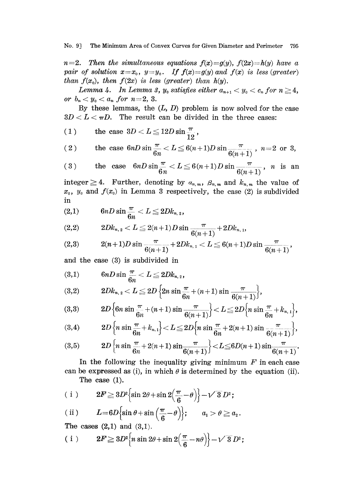No. 9] The Minimum Area of Convex Curves for Given Diameter and Perimeter 795

 $n=2$ . Then the simultaneous equations  $f(x)=g(y)$ ,  $f(2x)=h(y)$  have a pair of solution  $x=x_0$ ,  $y=y_0$ . If  $f(x)=g(y)$  and  $f(x)$  is less (greater) than  $f(x_0)$ , then  $f(2x)$  is less (greater) than  $h(y)$ .

Lemma 4. In Lemma 3,  $y_0$  satisfies either  $a_{n+1} < y_0 < c_n$  for  $n \geq 4$ , or  $b_n < y_0 < a_n$  for  $n=2, 3$ .

By these lemmas, the  $(L, D)$  problem is now solved for the case  $3D < L < \pi D$ . The result can be divided in the three cases:

(1) the case 
$$
3D < L \le 12D \sin \frac{\pi}{12}
$$
,

(2) the case 
$$
6nD \sin \frac{\pi}{6n} < L \leq 6(n+1)D \sin \frac{\pi}{6(n+1)}
$$
,  $n=2$  or 3,

(3) the case 
$$
6nD\sin\frac{\pi}{6n} < L \leq 6(n+1)D\sin\frac{\pi}{6(n+1)}
$$
, n is an

integer  $\geq 4$ . Further, denoting by  $a_{n,m}$ ,  $\beta_{n,m}$  and  $k_{n,m}$  the value of  $x_0$ ,  $y_0$  and  $f(x_0)$  in Lemma 3 respectively, the case (2) is subdivided in

$$
(2,1) \hspace{1cm} 6nD\sin\frac{\pi}{6n} < L \leq 2Dk_{n,2},
$$

(2,2) 
$$
2Dk_{n,2} < L \leq 2(n+1)D\sin\frac{\pi}{6(n+1)} + 2Dk_{n,1},
$$

$$
(2,3) \hspace{1cm} 2(n+1)D\sin{\frac{\pi}{6(n+1)}}+2Dk_{n,1}
$$

and the case (3) is subdivided in

$$
\begin{aligned} \text{(3,1)} \qquad &\qquad 6nD\sin\frac{\pi}{6n} < L \leq 2Dk_{n,\,2},\\ \text{(3,2)} \qquad &\qquad 2Dk_{n,\,2} < L \leq 2D\left\{2n\sin\frac{\pi}{6}\right\}. \end{aligned}
$$

(3,2) 
$$
2Dk_{n,2} < L \leq 2D \left\{ 2n \sin \frac{\pi}{6n} + (n+1) \sin \frac{\pi}{6(n+1)} \right\},\,
$$

(3,3) 
$$
2D\left\{6n \sin \frac{\pi}{6n} + (n+1) \sin \frac{\pi}{6(n+1)}\right\} < L \le 2D\left\{n \sin \frac{\pi}{6n} + k_{n,1}\right\},\
$$

$$
(3,4) \hspace{1cm} 2D\left\{n\sin\frac{\pi}{6n}+k_{n,1}\right\}
$$

(3,5) 
$$
2D\left\{n\sin\frac{\pi}{6n}+2(n+1)\sin\frac{\pi}{6(n+1)}\right\} < L \leq 6D(n+1)\sin\frac{\pi}{6(n+1)}.
$$

In the following the inequality giving minimum  $F$  in each case can be expressed as (i), in which  $\theta$  is determined by the equation (ii). The case (1).

(i) 
$$
2F \ge 3D^2 \left\{ \sin 2\theta + \sin 2\left(\frac{\pi}{6} - \theta\right) \right\} - \sqrt{3} D^2;
$$

(ii) 
$$
L=6D\{\sin \theta + \sin \left(\frac{\pi}{6}-\theta\right)\}; \quad a_1 > \theta \ge a_2.
$$

The cases  $(2,1)$  and  $(3,1)$ .

$$
(i) \t2F \ge 3D^2 \Big\{ n \sin 2\theta + \sin 2\Big(\frac{\pi}{6} - n\theta\Big) \Big\} - \sqrt{3} D^2;
$$